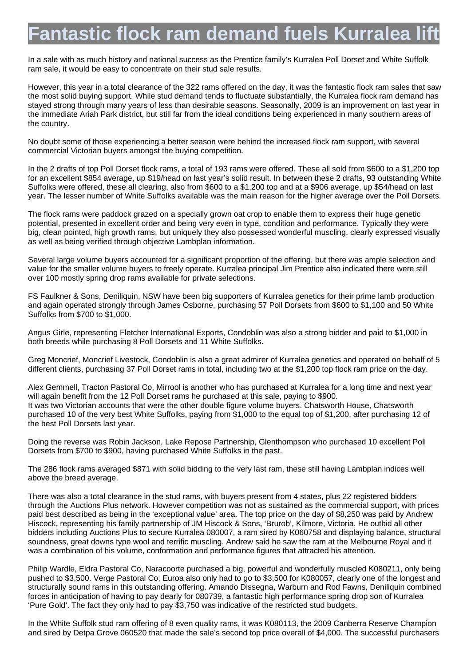## antastic flock ram demand fuels Kurralea

In a sale with as much history and national success as the Prentice family's Kurralea Poll Dorset and White Suffolk ram sale, it would be easy to concentrate on their stud sale results.

However, this year in a total clearance of the 322 rams offered on the day, it was the fantastic flock ram sales that saw the most solid buying support. While stud demand tends to fluctuate substantially, the Kurralea flock ram demand has stayed strong through many years of less than desirable seasons. Seasonally, 2009 is an improvement on last year in the immediate Ariah Park district, but still far from the ideal conditions being experienced in many southern areas of the country.

No doubt some of those experiencing a better season were behind the increased flock ram support, with several commercial Victorian buyers amongst the buying competition.

In the 2 drafts of top Poll Dorset flock rams, a total of 193 rams were offered. These all sold from \$600 to a \$1,200 top for an excellent \$854 average, up \$19/head on last year's solid result. In between these 2 drafts, 93 outstanding White Suffolks were offered, these all clearing, also from \$600 to a \$1,200 top and at a \$906 average, up \$54/head on last year. The lesser number of White Suffolks available was the main reason for the higher average over the Poll Dorsets.

The flock rams were paddock grazed on a specially grown oat crop to enable them to express their huge genetic potential, presented in excellent order and being very even in type, condition and performance. Typically they were big, clean pointed, high growth rams, but uniquely they also possessed wonderful muscling, clearly expressed visually as well as being verified through objective Lambplan information.

Several large volume buyers accounted for a significant proportion of the offering, but there was ample selection and value for the smaller volume buyers to freely operate. Kurralea principal Jim Prentice also indicated there were still over 100 mostly spring drop rams available for private selections.

FS Faulkner & Sons, Deniliquin, NSW have been big supporters of Kurralea genetics for their prime lamb production and again operated strongly through James Osborne, purchasing 57 Poll Dorsets from \$600 to \$1,100 and 50 White Suffolks from \$700 to \$1,000.

Angus Girle, representing Fletcher International Exports, Condoblin was also a strong bidder and paid to \$1,000 in both breeds while purchasing 8 Poll Dorsets and 11 White Suffolks.

Greg Moncrief, Moncrief Livestock, Condoblin is also a great admirer of Kurralea genetics and operated on behalf of 5 different clients, purchasing 37 Poll Dorset rams in total, including two at the \$1,200 top flock ram price on the day.

Alex Gemmell, Tracton Pastoral Co, Mirrool is another who has purchased at Kurralea for a long time and next year will again benefit from the 12 Poll Dorset rams he purchased at this sale, paying to \$900. It was two Victorian accounts that were the other double figure volume buyers. Chatsworth House, Chatsworth purchased 10 of the very best White Suffolks, paying from \$1,000 to the equal top of \$1,200, after purchasing 12 of the best Poll Dorsets last year.

Doing the reverse was Robin Jackson, Lake Repose Partnership, Glenthompson who purchased 10 excellent Poll Dorsets from \$700 to \$900, having purchased White Suffolks in the past.

The 286 flock rams averaged \$871 with solid bidding to the very last ram, these still having Lambplan indices well above the breed average.

There was also a total clearance in the stud rams, with buyers present from 4 states, plus 22 registered bidders through the Auctions Plus network. However competition was not as sustained as the commercial support, with prices paid best described as being in the 'exceptional value' area. The top price on the day of \$8,250 was paid by Andrew Hiscock, representing his family partnership of JM Hiscock & Sons, 'Brurob', Kilmore, Victoria. He outbid all other bidders including Auctions Plus to secure Kurralea 080007, a ram sired by K060758 and displaying balance, structural soundness, great downs type wool and terrific muscling. Andrew said he saw the ram at the Melbourne Royal and it was a combination of his volume, conformation and performance figures that attracted his attention.

Philip Wardle, Eldra Pastoral Co, Naracoorte purchased a big, powerful and wonderfully muscled K080211, only being pushed to \$3,500. Verge Pastoral Co, Euroa also only had to go to \$3,500 for K080057, clearly one of the longest and structurally sound rams in this outstanding offering. Amando Dissegna, Warburn and Rod Fawns, Deniliquin combined forces in anticipation of having to pay dearly for 080739, a fantastic high performance spring drop son of Kurralea 'Pure Gold'. The fact they only had to pay \$3,750 was indicative of the restricted stud budgets.

In the White Suffolk stud ram offering of 8 even quality rams, it was K080113, the 2009 Canberra Reserve Champion and sired by Detpa Grove 060520 that made the sale's second top price overall of \$4,000. The successful purchasers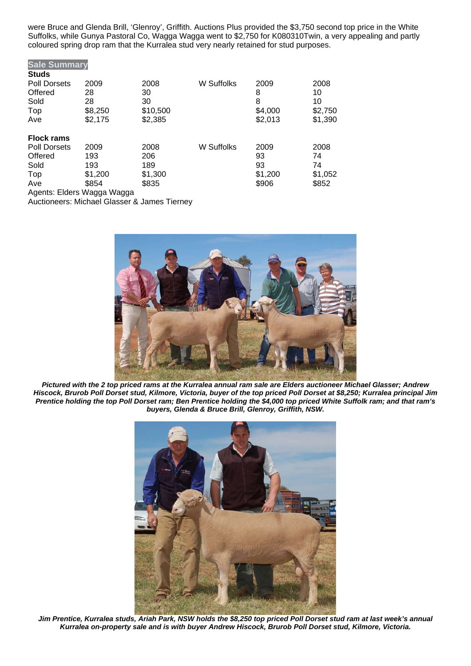were Bruce and Glenda Brill, 'Glenroy', Griffith. Auctions Plus provided the \$3,750 second top price in the White Suffolks, while Gunya Pastoral Co, Wagga Wagga went to \$2,750 for K080310Twin, a very appealing and partly coloured spring drop ram that the Kurralea stud very nearly retained for stud purposes.

| <b>Sale Summary</b>        |         |          |            |         |         |
|----------------------------|---------|----------|------------|---------|---------|
| <b>Studs</b>               |         |          |            |         |         |
| <b>Poll Dorsets</b>        | 2009    | 2008     | W Suffolks | 2009    | 2008    |
| Offered                    | 28      | 30       |            | 8       | 10      |
| Sold                       | 28      | 30       |            | 8       | 10      |
| Top                        | \$8,250 | \$10,500 |            | \$4,000 | \$2,750 |
| Ave                        | \$2,175 | \$2,385  |            | \$2,013 | \$1,390 |
| <b>Flock rams</b>          |         |          |            |         |         |
| <b>Poll Dorsets</b>        | 2009    | 2008     | W Suffolks | 2009    | 2008    |
| Offered                    | 193     | 206      |            | 93      | 74      |
| Sold                       | 193     | 189      |            | 93      | 74      |
| Top                        | \$1,200 | \$1,300  |            | \$1,200 | \$1,052 |
| Ave                        | \$854   | \$835    |            | \$906   | \$852   |
| Anante: Fldare Wanna Wanna |         |          |            |         |         |

Agents: Elders Wagga Wagga Auctioneers: Michael Glasser & James Tierney



*Pictured with the 2 top priced rams at the Kurralea annual ram sale are Elders auctioneer Michael Glasser; Andrew Hiscock, Brurob Poll Dorset stud, Kilmore, Victoria, buyer of the top priced Poll Dorset at \$8,250; Kurralea principal Jim Prentice holding the top Poll Dorset ram; Ben Prentice holding the \$4,000 top priced White Suffolk ram; and that ram's buyers, Glenda & Bruce Brill, Glenroy, Griffith, NSW.* 



*Jim Prentice, Kurralea studs, Ariah Park, NSW holds the \$8,250 top priced Poll Dorset stud ram at last week's annual Kurralea on-property sale and is with buyer Andrew Hiscock, Brurob Poll Dorset stud, Kilmore, Victoria.*